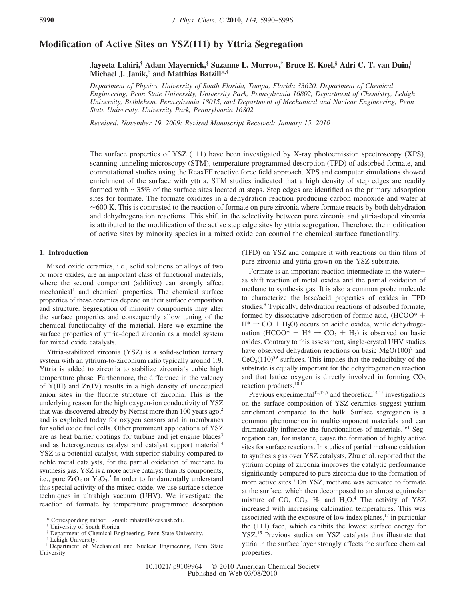# **Modification of Active Sites on YSZ(111) by Yttria Segregation**

**Jayeeta Lahiri,† Adam Mayernick,‡ Suzanne L. Morrow,† Bruce E. Koel,§ Adri C. T. van Duin,**<sup>|</sup> **Michael J. Janik,‡ and Matthias Batzill\*,†**

*Department of Physics, University of South Florida, Tampa, Florida 33620, Department of Chemical Engineering, Penn State Uni*V*ersity, Uni*V*ersity Park, Pennsyl*V*ania 16802, Department of Chemistry, Lehigh Uni*V*ersity, Bethlehem, Pennsyl*V*ania 18015, and Department of Mechanical and Nuclear Engineering, Penn State Uni*V*ersity, Uni*V*ersity Park, Pennsyl*V*ania 16802*

*Recei*V*ed: No*V*ember 19, 2009; Re*V*ised Manuscript Recei*V*ed: January 15, 2010*

The surface properties of YSZ (111) have been investigated by X-ray photoemission spectroscopy (XPS), scanning tunneling microscopy (STM), temperature programmed desorption (TPD) of adsorbed formate, and computational studies using the ReaxFF reactive force field approach. XPS and computer simulations showed enrichment of the surface with yttria. STM studies indicated that a high density of step edges are readily formed with ∼35% of the surface sites located at steps. Step edges are identified as the primary adsorption sites for formate. The formate oxidizes in a dehydration reaction producing carbon monoxide and water at ∼600 K. This is contrasted to the reaction of formate on pure zirconia where formate reacts by both dehydration and dehydrogenation reactions. This shift in the selectivity between pure zirconia and yttria-doped zirconia is attributed to the modification of the active step edge sites by yttria segregation. Therefore, the modification of active sites by minority species in a mixed oxide can control the chemical surface functionality.

## **1. Introduction**

Mixed oxide ceramics, i.e., solid solutions or alloys of two or more oxides, are an important class of functional materials, where the second component (additive) can strongly affect mechanical<sup>1</sup> and chemical properties. The chemical surface properties of these ceramics depend on their surface composition and structure. Segregation of minority components may alter the surface properties and consequently allow tuning of the chemical functionality of the material. Here we examine the surface properties of yttria-doped zirconia as a model system for mixed oxide catalysts.

Yttria-stabilized zirconia (YSZ) is a solid-solution ternary system with an yttrium-to-zirconium ratio typically around 1:9. Yttria is added to zirconia to stabilize zirconia's cubic high temperature phase. Furthermore, the difference in the valency of Y(III) and Zr(IV) results in a high density of unoccupied anion sites in the fluorite structure of zirconia. This is the underlying reason for the high oxygen-ion conductivity of YSZ that was discovered already by Nernst more than 100 years  $ago^2$ . and is exploited today for oxygen sensors and in membranes for solid oxide fuel cells. Other prominent applications of YSZ are as heat barrier coatings for turbine and jet engine blades<sup>3</sup> and as heterogeneous catalyst and catalyst support material.<sup>4</sup> YSZ is a potential catalyst, with superior stability compared to noble metal catalysts, for the partial oxidation of methane to synthesis gas. YSZ is a more active catalyst than its components, i.e., pure  $ZrO_2$  or  $Y_2O_3$ .<sup>5</sup> In order to fundamentally understand this special activity of the mixed oxide, we use surface science techniques in ultrahigh vacuum (UHV). We investigate the reaction of formate by temperature programmed desorption

(TPD) on YSZ and compare it with reactions on thin films of pure zirconia and yttria grown on the YSZ substrate.

Formate is an important reaction intermediate in the wateras shift reaction of metal oxides and the partial oxidation of methane to synthesis gas. It is also a common probe molecule to characterize the base/acid properties of oxides in TPD studies.<sup>6</sup> Typically, dehydration reactions of adsorbed formate, formed by dissociative adsorption of formic acid,  $(HCOO^* +$  $H^* \rightarrow CO + H_2O$ ) occurs on acidic oxides, while dehydrogenation (HCOO\* + H<sup>\*</sup>  $\rightarrow$  CO<sub>2</sub> + H<sub>2</sub>) is observed on basic oxides. Contrary to this assessment, single-crystal UHV studies have observed dehydration reactions on basic  $MgO(100)^7$  and  $CeO<sub>2</sub>(110)<sup>89</sup>$  surfaces. This implies that the reducibility of the substrate is equally important for the dehydrogenation reaction and that lattice oxygen is directly involved in forming  $CO<sub>2</sub>$ reaction products.10,11

Previous experimental<sup>12,13,5</sup> and theoretical<sup>14,15</sup> investigations on the surface composition of YSZ-ceramics suggest yttrium enrichment compared to the bulk. Surface segregation is a common phenomenon in multicomponent materials and can dramatically influence the functionalities of materials.<sup>161</sup> Segregation can, for instance, cause the formation of highly active sites for surface reactions. In studies of partial methane oxidation to synthesis gas over YSZ catalysts, Zhu et al. reported that the yttrium doping of zirconia improves the catalytic performance significantly compared to pure zirconia due to the formation of more active sites.<sup>5</sup> On YSZ, methane was activated to formate at the surface, which then decomposed to an almost equimolar mixture of CO,  $CO_2$ ,  $H_2$  and  $H_2O$ .<sup>4</sup> The activity of YSZ increased with increasing calcination temperatures. This was associated with the exposure of low index planes, $17$  in particular the (111) face, which exhibits the lowest surface energy for YSZ.15 Previous studies on YSZ catalysts thus illustrate that yttria in the surface layer strongly affects the surface chemical properties.

<sup>\*</sup> Corresponding author. E-mail: mbatzill@cas.usf.edu.

<sup>†</sup> University of South Florida.

<sup>‡</sup> Department of Chemical Engineering, Penn State University.

Lehigh University.

<sup>|</sup> Department of Mechanical and Nuclear Engineering, Penn State University.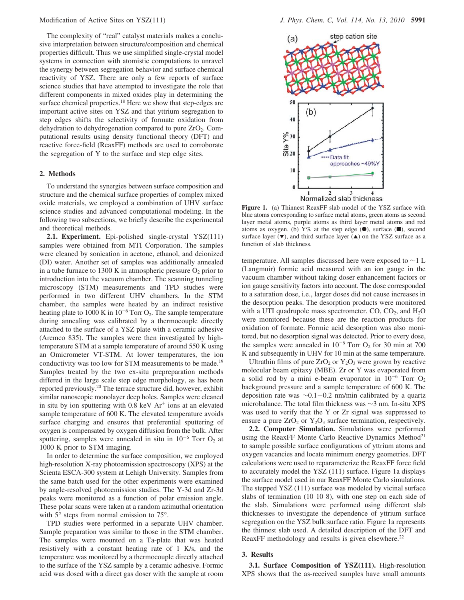The complexity of "real" catalyst materials makes a conclusive interpretation between structure/composition and chemical properties difficult. Thus we use simplified single-crystal model systems in connection with atomistic computations to unravel the synergy between segregation behavior and surface chemical reactivity of YSZ. There are only a few reports of surface science studies that have attempted to investigate the role that different components in mixed oxides play in determining the surface chemical properties.<sup>18</sup> Here we show that step-edges are important active sites on YSZ and that yttrium segregation to step edges shifts the selectivity of formate oxidation from dehydration to dehydrogenation compared to pure ZrO<sub>2</sub>. Computational results using density functional theory (DFT) and reactive force-field (ReaxFF) methods are used to corroborate the segregation of Y to the surface and step edge sites.

# **2. Methods**

To understand the synergies between surface composition and structure and the chemical surface properties of complex mixed oxide materials, we employed a combination of UHV surface science studies and advanced computational modeling. In the following two subsections, we briefly describe the experimental and theoretical methods.

**2.1. Experiment.** Epi-polished single-crystal YSZ(111) samples were obtained from MTI Corporation. The samples were cleaned by sonication in acetone, ethanol, and deionized (DI) water. Another set of samples was additionally annealed in a tube furnace to 1300 K in atmospheric pressure  $O_2$  prior to introduction into the vacuum chamber. The scanning tunneling microscopy (STM) measurements and TPD studies were performed in two different UHV chambers. In the STM chamber, the samples were heated by an indirect resistive heating plate to 1000 K in  $10^{-6}$  Torr  $O_2$ . The sample temperature during annealing was calibrated by a thermocouple directly attached to the surface of a YSZ plate with a ceramic adhesive (Aremco 835). The samples were then investigated by hightemperature STM at a sample temperature of around 550 K using an Omicrometer VT-STM. At lower temperatures, the ion conductivity was too low for STM measurements to be made.<sup>19</sup> Samples treated by the two ex-situ prepreparation methods differed in the large scale step edge morphology, as has been reported previously.20 The terrace structure did, however, exhibit similar nanoscopic monolayer deep holes. Samples were cleaned in situ by ion sputtering with  $0.8 \text{ keV Ar}^+$  ions at an elevated sample temperature of 600 K. The elevated temperature avoids surface charging and ensures that preferential sputtering of oxygen is compensated by oxygen diffusion from the bulk. After sputtering, samples were annealed in situ in  $10^{-6}$  Torr  $O_2$  at 1000 K prior to STM imaging.

In order to determine the surface composition, we employed high-resolution X-ray photoemission spectroscopy (XPS) at the Scienta ESCA-300 system at Lehigh University. Samples from the same batch used for the other experiments were examined by angle-resolved photoemission studies. The Y-3d and Zr-3d peaks were monitored as a function of polar emission angle. These polar scans were taken at a random azimuthal orientation with 5° steps from normal emission to 75°.

TPD studies were performed in a separate UHV chamber. Sample preparation was similar to those in the STM chamber. The samples were mounted on a Ta-plate that was heated resistively with a constant heating rate of 1 K/s, and the temperature was monitored by a thermocouple directly attached to the surface of the YSZ sample by a ceramic adhesive. Formic acid was dosed with a direct gas doser with the sample at room



**Figure 1.** (a) Thinnest ReaxFF slab model of the YSZ surface with blue atoms corresponding to surface metal atoms, green atoms as second layer metal atoms, purple atoms as third layer metal atoms and red atoms as oxygen. (b)  $Y\%$  at the step edge  $(\bullet)$ , surface  $(\blacksquare)$ , second surface layer  $(\blacktriangledown)$ , and third surface layer  $(\blacktriangle)$  on the YSZ surface as a function of slab thickness.

temperature. All samples discussed here were exposed to ∼1 L (Langmuir) formic acid measured with an ion gauge in the vacuum chamber without taking doser enhancement factors or ion gauge sensitivity factors into account. The dose corresponded to a saturation dose, i.e., larger doses did not cause increases in the desorption peaks. The desorption products were monitored with a UTI quadrupole mass spectrometer.  $CO$ ,  $CO<sub>2</sub>$ , and  $H<sub>2</sub>O$ were monitored because these are the reaction products for oxidation of formate. Formic acid desorption was also monitored, but no desorption signal was detected. Prior to every dose, the samples were annealed in  $10^{-6}$  Torr  $O_2$  for 30 min at 700 K and subsequently in UHV for 10 min at the same temperature.

Ultrathin films of pure  $ZrO<sub>2</sub>$  or  $Y<sub>2</sub>O<sub>3</sub>$  were grown by reactive molecular beam epitaxy (MBE). Zr or Y was evaporated from a solid rod by a mini e-beam evaporator in  $10^{-6}$  Torr O<sub>2</sub> background pressure and a sample temperature of 600 K. The deposition rate was ∼0.1-0.2 nm/min calibrated by a quartz microbalance. The total film thickness was ∼3 nm. In-situ XPS was used to verify that the Y or Zr signal was suppressed to ensure a pure  $ZrO_2$  or  $Y_2O_3$  surface termination, respectively.

**2.2. Computer Simulation.** Simulations were performed using the ReaxFF Monte Carlo Reactive Dynamics Method<sup>21</sup> to sample possible surface configurations of yttrium atoms and oxygen vacancies and locate minimum energy geometries. DFT calculations were used to reparameterize the ReaxFF force field to accurately model the YSZ (111) surface. Figure 1a displays the surface model used in our ReaxFF Monte Carlo simulations. The stepped YSZ (111) surface was modeled by vicinal surface slabs of termination (10 10 8), with one step on each side of the slab. Simulations were performed using different slab thicknesses to investigate the dependence of yttrium surface segregation on the YSZ bulk:surface ratio. Figure 1a represents the thinnest slab used. A detailed description of the DFT and ReaxFF methodology and results is given elsewhere.<sup>22</sup>

### **3. Results**

**3.1. Surface Composition of YSZ(111).** High-resolution XPS shows that the as-received samples have small amounts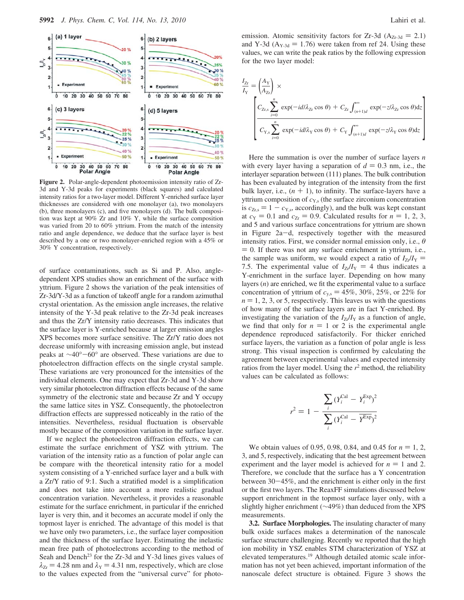

**Figure 2.** Polar-angle-dependent photoemission intensity ratio of Zr-3d and Y-3d peaks for experiments (black squares) and calculated intensity ratios for a two-layer model. Different Y-enriched surface layer thicknesses are considered with one monolayer (a), two monolayers (b), three monolayers (c), and five monolayers (d). The bulk composition was kept at 90% Zr and 10% Y, while the surface composition was varied from 20 to 60% yttrium. From the match of the intensity ratio and angle dependence, we deduce that the surface layer is best described by a one or two monolayer-enriched region with a 45% or 30% Y concentration, respectively.

of surface contaminations, such as Si and P. Also, angledependent XPS studies show an enrichment of the surface with yttrium. Figure 2 shows the variation of the peak intensities of Zr-3d/Y-3d as a function of takeoff angle for a random azimuthal crystal orientation. As the emission angle increases, the relative intensity of the Y-3d peak relative to the Zr-3d peak increases and thus the Zr/Y intensity ratio decreases. This indicates that the surface layer is Y-enriched because at larger emission angles XPS becomes more surface sensitive. The Zr/Y ratio does not decrease uniformly with increasing emission angle, but instead peaks at ∼40°-60° are observed. These variations are due to photoelectron diffraction effects on the single crystal sample. These variations are very pronounced for the intensities of the individual elements. One may expect that Zr-3d and Y-3d show very similar photoelectron diffraction effects because of the same symmetry of the electronic state and because Zr and Y occupy the same lattice sites in YSZ. Consequently, the photoelectron diffraction effects are suppressed noticeably in the ratio of the intensities. Nevertheless, residual fluctuation is observable mostly because of the composition variation in the surface layer.

If we neglect the photoelectron diffraction effects, we can estimate the surface enrichment of YSZ with yttrium. The variation of the intensity ratio as a function of polar angle can be compare with the theoretical intensity ratio for a model system consisting of a Y-enriched surface layer and a bulk with a Zr/Y ratio of 9:1. Such a stratified model is a simplification and does not take into account a more realistic gradual concentration variation. Nevertheless, it provides a reasonable estimate for the surface enrichment, in particular if the enriched layer is very thin, and it becomes an accurate model if only the topmost layer is enriched. The advantage of this model is that we have only two parameters, i.e., the surface layer composition and the thickness of the surface layer. Estimating the inelastic mean free path of photoelectrons according to the method of Seah and Dench<sup>23</sup> for the Zr-3d and Y-3d lines gives values of  $\lambda_{Zr}$  = 4.28 nm and  $\lambda_Y$  = 4.31 nm, respectively, which are close to the values expected from the "universal curve" for photoemission. Atomic sensitivity factors for Zr-3d ( $A_{Zr-3d} = 2.1$ ) and Y-3d ( $A_{Y-3d} = 1.76$ ) were taken from ref 24. Using these values, we can write the peak ratios by the following expression for the two layer model:

$$
\frac{I_{Zr}}{I_{Y}} = \left(\frac{A_{Y}}{A_{Zr}}\right) \times
$$
\n
$$
\left[\frac{C_{Zr,s} \sum_{i=0}^{n} \exp(-id/\lambda_{Zr} \cos \theta) + C_{Zr} \int_{(n+1)d}^{\infty} \exp(-z/\lambda_{Zr} \cos \theta) dz}{C_{Y,s} \sum_{i=0}^{n} \exp(-id/\lambda_{Y} \cos \theta) + C_{Y} \int_{(n+1)d}^{\infty} \exp(-z/\lambda_{Y} \cos \theta) dz}\right]
$$

Here the summation is over the number of surface layers *n* with every layer having a separation of  $d = 0.3$  nm, i.e., the interlayer separation between (111) planes. The bulk contribution has been evaluated by integration of the intensity from the first bulk layer, i.e.,  $(n + 1)$ , to infinity. The surface-layers have a yttrium composition of  $c_{\text{Y},s}$  (the surface zirconium concentration is  $c_{Zrs} = 1 - c_{Y,s}$ , accordingly), and the bulk was kept constant at  $c_Y = 0.1$  and  $c_{Zr} = 0.9$ . Calculated results for  $n = 1, 2, 3$ , and 5 and various surface concentrations for yttrium are shown in Figure 2a-d, respectively together with the measured intensity ratios. First, we consider normal emission only, i.e.,  $\theta$  $= 0$ . If there was not any surface enrichment in yttrium, i.e., the sample was uniform, we would expect a ratio of  $I_{Zr}/I_Y =$ 7.5. The experimental value of  $I_{Zr}/I_Y = 4$  thus indicates a Y-enrichment in the surface layer. Depending on how many layers (*n*) are enriched, we fit the experimental value to a surface concentration of yttrium of  $c_{y,s} = 45\%, 30\%, 25\%,$  or 22% for  $n = 1, 2, 3$ , or 5, respectively. This leaves us with the questions of how many of the surface layers are in fact Y-enriched. By investigating the variation of the  $I_{Zr}/I_Y$  as a function of angle, we find that only for  $n = 1$  or 2 is the experimental angle dependence reproduced satisfactorily. For thicker enriched surface layers, the variation as a function of polar angle is less strong. This visual inspection is confirmed by calculating the agreement between experimental values and expected intensity ratios from the layer model. Using the  $r<sup>2</sup>$  method, the reliability values can be calculated as follows:

$$
r^{2} = 1 - \frac{\sum_{i} (Y_{i}^{\text{Cal}} - Y_{i}^{\text{Exp}})^{2}}{\sum_{i} (Y_{i}^{\text{Cal}} - \overline{Y}^{\text{Exp}})^{2}}
$$

We obtain values of 0.95, 0.98, 0.84, and 0.45 for  $n = 1, 2$ , 3, and 5, respectively, indicating that the best agreement between experiment and the layer model is achieved for  $n = 1$  and 2. Therefore, we conclude that the surface has a Y concentration between  $30-45\%$ , and the enrichment is either only in the first or the first two layers. The ReaxFF simulations discussed below support enrichment in the topmost surface layer only, with a slightly higher enrichment (∼49%) than deduced from the XPS measurements.

**3.2. Surface Morphologies.** The insulating character of many bulk oxide surfaces makes a determination of the nanoscale surface structure challenging. Recently we reported that the high ion mobility in YSZ enables STM characterization of YSZ at elevated temperatures.19 Although detailed atomic scale information has not yet been achieved, important information of the nanoscale defect structure is obtained. Figure 3 shows the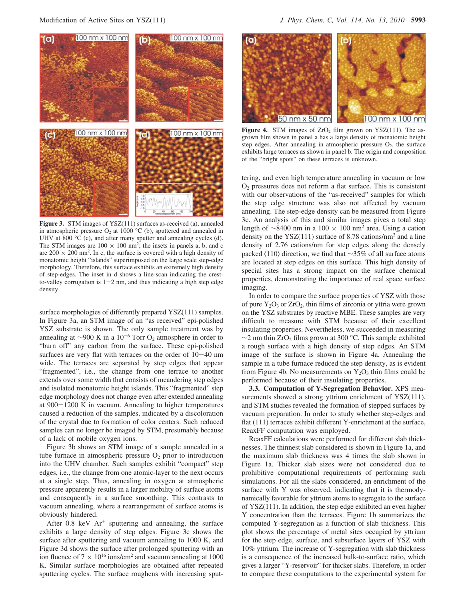

**Figure 3.** STM images of YSZ(111) surfaces as-received (a), annealed in atmospheric pressure  $O_2$  at 1000 °C (b), sputtered and annealed in UHV at 800  $^{\circ}$ C (c), and after many sputter and annealing cycles (d). The STM images are  $100 \times 100$  nm<sup>2</sup>; the insets in panels a, b, and c are  $200 \times 200$  nm<sup>2</sup>. In c, the surface is covered with a high density of monatomic height "islands" superimposed on the large scale step-edge morphology. Therefore, this surface exhibits an extremely high density of step-edges. The inset in d shows a line-scan indicating the crestto-valley corrugation is  $1-2$  nm, and thus indicating a high step edge density.

surface morphologies of differently prepared YSZ(111) samples. In Figure 3a, an STM image of an "as received" epi-polished YSZ substrate is shown. The only sample treatment was by annealing at ∼900 K in a 10<sup>-6</sup> Torr O<sub>2</sub> atmosphere in order to "burn off" any carbon from the surface. These epi-polished surfaces are very flat with terraces on the order of  $10-40$  nm wide. The terraces are separated by step edges that appear "fragmented", i.e., the change from one terrace to another extends over some width that consists of meandering step edges and isolated monatomic height islands. This "fragmented" step edge morphology does not change even after extended annealing at 900-1200 K in vacuum. Annealing to higher temperatures caused a reduction of the samples, indicated by a discoloration of the crystal due to formation of color centers. Such reduced samples can no longer be imaged by STM, presumably because of a lack of mobile oxygen ions.

Figure 3b shows an STM image of a sample annealed in a tube furnace in atmospheric pressure  $O_2$  prior to introduction into the UHV chamber. Such samples exhibit "compact" step edges, i.e., the change from one atomic-layer to the next occurs at a single step. Thus, annealing in oxygen at atmospheric pressure apparently results in a larger mobility of surface atoms and consequently in a surface smoothing. This contrasts to vacuum annealing, where a rearrangement of surface atoms is obviously hindered.

After 0.8 keV  $Ar^+$  sputtering and annealing, the surface exhibits a large density of step edges. Figure 3c shows the surface after sputtering and vacuum annealing to 1000 K, and Figure 3d shows the surface after prolonged sputtering with an ion fluence of  $7 \times 10^{16}$  ions/cm<sup>2</sup> and vacuum annealing at 1000 K. Similar surface morphologies are obtained after repeated sputtering cycles. The surface roughens with increasing sput-



**Figure 4.** STM images of  $ZrO<sub>2</sub>$  film grown on YSZ(111). The asgrown film shown in panel a has a large density of monatomic height step edges. After annealing in atmospheric pressure  $O_2$ , the surface exhibits large terraces as shown in panel b. The origin and composition of the "bright spots" on these terraces is unknown.

tering, and even high temperature annealing in vacuum or low  $O<sub>2</sub>$  pressures does not reform a flat surface. This is consistent with our observations of the "as-received" samples for which the step edge structure was also not affected by vacuum annealing. The step-edge density can be measured from Figure 3c. An analysis of this and similar images gives a total step length of ∼8400 nm in a 100 × 100 nm2 area. Using a cation density on the YSZ(111) surface of 8.78 cations/nm2 and a line density of 2.76 cations/nm for step edges along the densely packed 〈110〉 direction, we find that ∼35% of all surface atoms are located at step edges on this surface. This high density of special sites has a strong impact on the surface chemical properties, demonstrating the importance of real space surface imaging.

In order to compare the surface properties of YSZ with those of pure  $Y_2O_3$  or  $ZrO_2$ , thin films of zirconia or yttria were grown on the YSZ substrates by reactive MBE. These samples are very difficult to measure with STM because of their excellent insulating properties. Nevertheless, we succeeded in measuring  $\sim$ 2 nm thin ZrO<sub>2</sub> films grown at 300 °C. This sample exhibited a rough surface with a high density of step edges. An STM image of the surface is shown in Figure 4a. Annealing the sample in a tube furnace reduced the step density, as is evident from Figure 4b. No measurements on  $Y_2O_3$  thin films could be performed because of their insulating properties.

**3.3. Computation of Y-Segregation Behavior.** XPS measurements showed a strong yttrium enrichment of YSZ(111), and STM studies revealed the formation of stepped surfaces by vacuum preparation. In order to study whether step-edges and flat (111) terraces exhibit different Y-enrichment at the surface, ReaxFF computation was employed.

ReaxFF calculations were performed for different slab thicknesses. The thinnest slab considered is shown in Figure 1a, and the maximum slab thickness was 4 times the slab shown in Figure 1a. Thicker slab sizes were not considered due to prohibitive computational requirements of performing such simulations. For all the slabs considered, an enrichment of the surface with Y was observed, indicating that it is thermodynamically favorable for yttrium atoms to segregate to the surface of YSZ(111). In addition, the step edge exhibited an even higher Y concentration than the terraces. Figure 1b summarizes the computed Y-segregation as a function of slab thickness. This plot shows the percentage of metal sites occupied by yttrium for the step edge, surface, and subsurface layers of YSZ with 10% yttrium. The increase of Y-segregation with slab thickness is a consequence of the increased bulk-to-surface ratio, which gives a larger "Y-reservoir" for thicker slabs. Therefore, in order to compare these computations to the experimental system for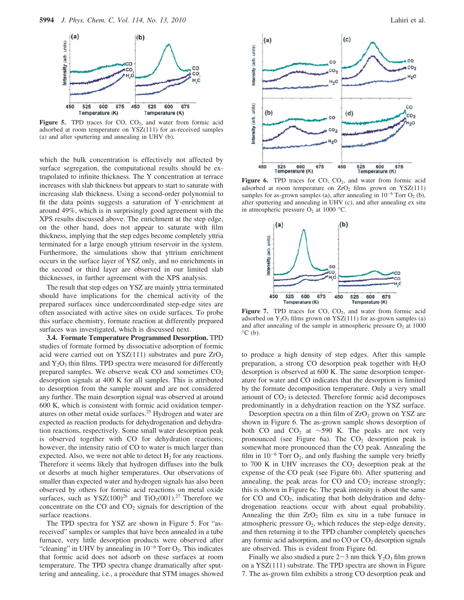

Figure 5. TPD traces for CO, CO<sub>2</sub>, and water from formic acid adsorbed at room temperature on YSZ(111) for as-received samples (a) and after sputtering and annealing in UHV (b).

which the bulk concentration is effectively not affected by surface segregation, the computational results should be extrapolated to infinite thickness. The Y concentration at terrace increases with slab thickness but appears to start to saturate with increasing slab thickness. Using a second-order polynomial to fit the data points suggests a saturation of Y-enrichment at around 49%, which is in surprisingly good agreement with the XPS results discussed above. The enrichment at the step edge, on the other hand, does not appear to saturate with film thickness, implying that the step edges become completely yttria terminated for a large enough yttrium reservoir in the system. Furthermore, the simulations show that yttrium enrichment occurs in the surface layer of YSZ only, and no enrichments in the second or third layer are observed in our limited slab thicknesses, in further agreement with the XPS analysis.

The result that step edges on YSZ are mainly yttria terminated should have implications for the chemical activity of the prepared surfaces since undercoordinated step-edge sites are often associated with active sites on oxide surfaces. To probe this surface chemistry, formate reaction at differently prepared surfaces was investigated, which is discussed next.

**3.4. Formate Temperature Programmed Desorption.** TPD studies of formate formed by dissociative adsorption of formic acid were carried out on YSZ(111) substrates and pure  $ZrO<sub>2</sub>$ and  $Y_2O_3$  thin films. TPD spectra were measured for differently prepared samples. We observe weak CO and sometimes  $CO<sub>2</sub>$ desorption signals at 400 K for all samples. This is attributed to desorption from the sample mount and are not considered any further. The main desorption signal was observed at around 600 K, which is consistent with formic acid oxidation temperatures on other metal oxide surfaces.25 Hydrogen and water are expected as reaction products for dehydrogenation and dehydration reactions, respectively. Some small water desorption peak is observed together with CO for dehydration reactions; however, the intensity ratio of CO to water is much larger than expected. Also, we were not able to detect  $H_2$  for any reactions. Therefore it seems likely that hydrogen diffuses into the bulk or desorbs at much higher temperatures. Our observations of smaller than expected water and hydrogen signals has also been observed by others for formic acid reactions on metal oxide surfaces, such as  $YSZ(100)^{26}$  and  $TiO_2(001).^{27}$  Therefore we concentrate on the  $CO$  and  $CO<sub>2</sub>$  signals for description of the surface reactions.

The TPD spectra for YSZ are shown in Figure 5. For "asreceived" samples or samples that have been annealed in a tube furnace, very little desorption products were observed after "cleaning" in UHV by annealing in  $10^{-6}$  Torr  $O_2$ . This indicates that formic acid does not adsorb on these surfaces at room temperature. The TPD spectra change dramatically after sputtering and annealing, i.e., a procedure that STM images showed



**Figure 6.** TPD traces for CO,  $CO<sub>2</sub>$ , and water from formic acid adsorbed at room temperature on  $ZrO<sub>2</sub>$  films grown on YSZ(111) samples for as-grown samples (a), after annealing in  $10^{-6}$  Torr O<sub>2</sub> (b), after sputtering and annealing in UHV (c), and after annealing ex situ in atmospheric pressure  $O_2$  at 1000 °C.

450

525

600

Temperature (K)

675

675

450

525 600<br>Temperature (K) 600



Figure 7. TPD traces for CO, CO<sub>2</sub>, and water from formic acid adsorbed on  $Y_2O_3$  films grown on YSZ(111) for as-grown samples (a) and after annealing of the sample in atmospheric pressure  $O_2$  at 1000  $\mathrm{^{\circ}C}$  (b).

to produce a high density of step edges. After this sample preparation, a strong CO desorption peak together with  $H_2O$ desorption is observed at 600 K. The same desorption temperature for water and CO indicates that the desorption is limited by the formate decomposition temperature. Only a very small amount of  $CO<sub>2</sub>$  is detected. Therefore formic acid decomposes predominantly in a dehydration reaction on the YSZ surface.

Desorption spectra on a thin film of  $ZrO<sub>2</sub>$  grown on YSZ are shown in Figure 6. The as-grown sample shows desorption of both CO and CO<sub>2</sub> at ~590 K. The peaks are not very pronounced (see Figure 6a). The  $CO<sub>2</sub>$  desorption peak is somewhat more pronounced than the CO peak. Annealing the film in  $10^{-6}$  Torr  $O_2$ , and only flashing the sample very briefly to 700 K in UHV increases the  $CO<sub>2</sub>$  desorption peak at the expense of the CO peak (see Figure 6b). After sputtering and annealing, the peak areas for  $CO$  and  $CO<sub>2</sub>$  increase strongly; this is shown in Figure 6c. The peak intensity is about the same for CO and CO<sub>2</sub>, indicating that both dehydration and dehydrogenation reactions occur with about equal probability. Annealing the thin  $ZrO<sub>2</sub>$  film ex situ in a tube furnace in atmospheric pressure  $O_2$ , which reduces the step-edge density, and then returning it to the TPD chamber completely quenches any formic acid adsorption, and no  $CO$  or  $CO<sub>2</sub>$  desorption signals are observed. This is evident from Figure 6d.

Finally we also studied a pure  $2-3$  nm thick  $Y_2O_3$  film grown on a YSZ(111) substrate. The TPD spectra are shown in Figure 7. The as-grown film exhibits a strong CO desorption peak and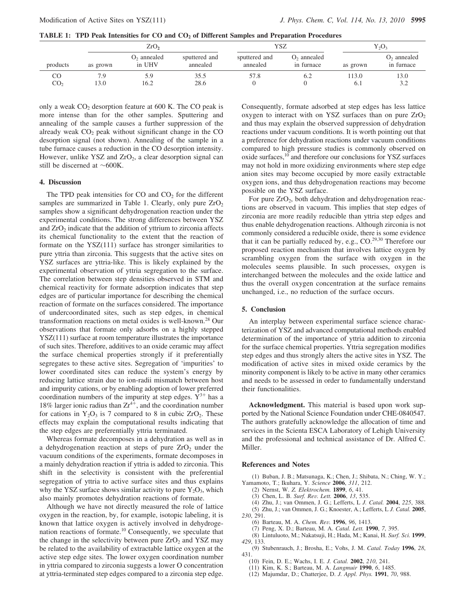**TABLE 1: TPD Peak Intensities for CO and CO2 of Different Samples and Preparation Procedures**

|                        |             | ZrO <sub>2</sub>        |                           |                           | YSZ                         |          | $Y_2O_3$                    |  |
|------------------------|-------------|-------------------------|---------------------------|---------------------------|-----------------------------|----------|-----------------------------|--|
| products               | as grown    | $O2$ annealed<br>in UHV | sputtered and<br>annealed | sputtered and<br>annealed | $O2$ annealed<br>in furnace | as grown | $O2$ annealed<br>in furnace |  |
| CO.<br>CO <sub>2</sub> | 7.9<br>13.0 | 5.9<br>16.2             | 35.5<br>28.6              | 57.8                      | 6.Z                         | 113.0    | 13.0<br>32<br>ے ۔           |  |

only a weak  $CO<sub>2</sub>$  desorption feature at 600 K. The CO peak is more intense than for the other samples. Sputtering and annealing of the sample causes a further suppression of the already weak  $CO<sub>2</sub>$  peak without significant change in the  $CO<sub>2</sub>$ desorption signal (not shown). Annealing of the sample in a tube furnace causes a reduction in the CO desorption intensity. However, unlike YSZ and  $ZrO<sub>2</sub>$ , a clear desorption signal can still be discerned at ∼600K.

# **4. Discussion**

The TPD peak intensities for  $CO$  and  $CO<sub>2</sub>$  for the different samples are summarized in Table 1. Clearly, only pure  $ZrO<sub>2</sub>$ samples show a significant dehydrogenation reaction under the experimental conditions. The strong differences between YSZ and  $ZrO<sub>2</sub>$  indicate that the addition of yttrium to zirconia affects its chemical functionality to the extent that the reaction of formate on the YSZ(111) surface has stronger similarities to pure yttria than zirconia. This suggests that the active sites on YSZ surfaces are yttria-like. This is likely explained by the experimental observation of yttria segregation to the surface. The correlation between step densities observed in STM and chemical reactivity for formate adsorption indicates that step edges are of particular importance for describing the chemical reaction of formate on the surfaces considered. The importance of undercoordinated sites, such as step edges, in chemical transformation reactions on metal oxides is well-known.28 Our observations that formate only adsorbs on a highly stepped YSZ(111) surface at room temperature illustrates the importance of such sites. Therefore, additives to an oxide ceramic may affect the surface chemical properties strongly if it preferentially segregates to these active sites. Segregation of 'impurities' to lower coordinated sites can reduce the system's energy by reducing lattice strain due to ion-radii mismatch between host and impurity cations, or by enabling adoption of lower preferred coordination numbers of the impurity at step edges.  $Y^{3+}$  has a 18% larger ionic radius than  $Zr^{4+}$ , and the coordination number for cations in  $Y_2O_3$  is 7 compared to 8 in cubic ZrO<sub>2</sub>. These effects may explain the computational results indicating that the step edges are preferentially yttria terminated.

Whereas formate decomposes in a dehydration as well as in a dehydrogenation reaction at steps of pure  $ZrO<sub>2</sub>$  under the vacuum conditions of the experiments, formate decomposes in a mainly dehydration reaction if yttria is added to zirconia. This shift in the selectivity is consistent with the preferential segregation of yttria to active surface sites and thus explains why the YSZ surface shows similar activity to pure  $Y_2O_3$ , which also mainly promotes dehydration reactions of formate.

Although we have not directly measured the role of lattice oxygen in the reaction, by, for example, isotopic labeling, it is known that lattice oxygen is actively involved in dehydrogenation reactions of formate.<sup>10</sup> Consequently, we speculate that the change in the selectivity between pure  $ZrO<sub>2</sub>$  and YSZ may be related to the availability of extractable lattice oxygen at the active step edge sites. The lower oxygen coordination number in yttria compared to zirconia suggests a lower O concentration at yttria-terminated step edges compared to a zirconia step edge.

Consequently, formate adsorbed at step edges has less lattice oxygen to interact with on YSZ surfaces than on pure  $ZrO<sub>2</sub>$ and thus may explain the observed suppression of dehydration reactions under vacuum conditions. It is worth pointing out that a preference for dehydration reactions under vacuum conditions compared to high pressure studies is commonly observed on oxide surfaces,10 and therefore our conclusions for YSZ surfaces may not hold in more oxidizing environments where step edge anion sites may become occupied by more easily extractable oxygen ions, and thus dehydrogenation reactions may become possible on the YSZ surface.

For pure  $ZrO_2$ , both dehydration and dehydrogenation reactions are observed in vacuum. This implies that step edges of zirconia are more readily reducible than yttria step edges and thus enable dehydrogenation reactions. Although zirconia is not commonly considered a reducible oxide, there is some evidence that it can be partially reduced by, e.g., CO.<sup>29,30</sup> Therefore our proposed reaction mechanism that involves lattice oxygen by scrambling oxygen from the surface with oxygen in the molecules seems plausible. In such processes, oxygen is interchanged between the molecules and the oxide lattice and thus the overall oxygen concentration at the surface remains unchanged, i.e., no reduction of the surface occurs.

### **5. Conclusion**

An interplay between experimental surface science characterization of YSZ and advanced computational methods enabled determination of the importance of yttria addition to zirconia for the surface chemical properties. Yttria segregation modifies step edges and thus strongly alters the active sites in YSZ. The modification of active sites in mixed oxide ceramics by the minority component is likely to be active in many other ceramics and needs to be assessed in order to fundamentally understand their functionalities.

**Acknowledgment.** This material is based upon work supported by the National Science Foundation under CHE-0840547. The authors gratefully acknowledge the allocation of time and services in the Scienta ESCA Laboratory of Lehigh University and the professional and technical assistance of Dr. Alfred C. Miller.

#### **References and Notes**

(1) Buban, J. B.; Matsunaga, K.; Chen, J.; Shibata, N.; Ching, W. Y.; Yamamoto, T.; Ikuhara, Y. *Science* **2006**, *311*, 212.

(2) Nernst, W. *Z. Elektrochem.* **1899**, *6*, 41.

- (3) Chen, L. B. *Surf. Re*V*. Lett.* **2006**, *13*, 535.
- (4) Zhu, J.; van Ommen, J. G.; Lefferts, L *J. Catal.* **2004**, *225*, 388.
- (5) Zhu, J.; van Ommen, J. G.; Knoester, A.; Lefferts, L *J. Catal.* **2005**, *230*, 291.
	- (6) Barteau, M. A. *Chem. Re*V*.* **1996**, *96*, 1413.
	- (7) Peng, X. D.; Barteau, M. A. *Catal. Lett.* **1990**, *7*, 395.
	- (8) Lintuluoto, M.; Nakatsuji, H.; Hada, M.; Kanai, H. *Surf. Sci.* **1999**,

*429*, 133. (9) Stubenrauch, J.; Brosha, E.; Vohs, J. M. *Catal. Today* **1996**, *28*,

- 431.
	- (10) Fein, D. E.; Wachs, I. E. *J. Catal.* **2002**, *210*, 241. (11) Kim, K. S.; Barteau, M. A. *Langmuir* **1990**, *6*, 1485.
	- (12) Majumdar, D.; Chatterjee, D. *J. Appl. Phys.* **1991**, *70*, 988.